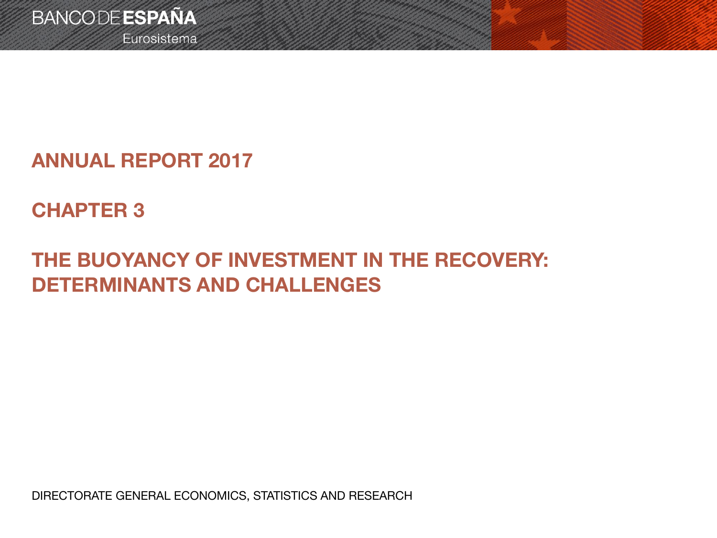Eurosistema

## **ANNUAL REPORT 2017**

# **CHAPTER 3**

# **THE BUOYANCY OF INVESTMENT IN THE RECOVERY: DETERMINANTS AND CHALLENGES**

DIRECTORATE GENERAL ECONOMICS, STATISTICS AND RESEARCH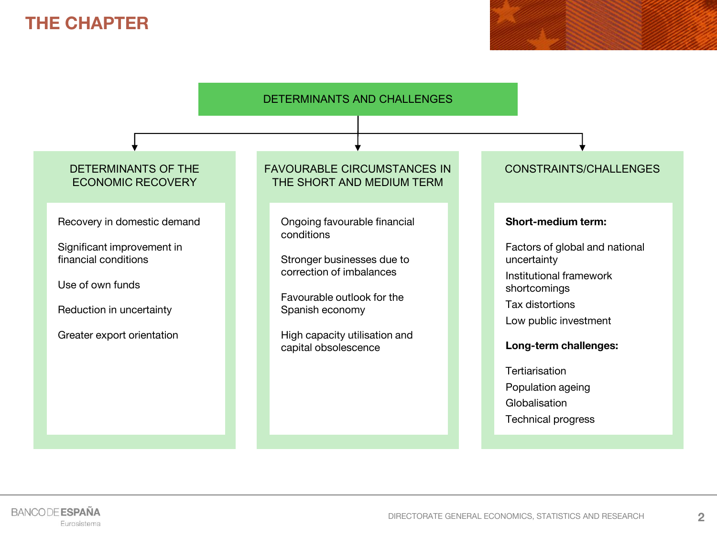### **THE CHAPTER**

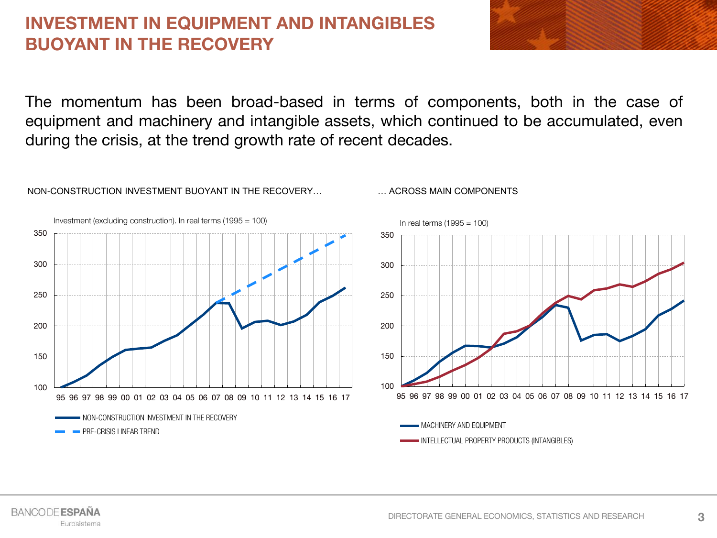### **INVESTMENT IN EQUIPMENT AND INTANGIBLES BUOYANT IN THE RECOVERY**

NON-CONSTRUCTION INVESTMENT BUOYANT IN THE RECOVERY…

**BANCODE ESPAÑA** 

Eurosistema

The momentum has been broad-based in terms of components, both in the case of equipment and machinery and intangible assets, which continued to be accumulated, even during the crisis, at the trend growth rate of recent decades.

… ACROSS MAIN COMPONENTS

100 150 200 250 300 350 95 96 97 98 99 00 01 02 03 04 05 06 07 08 09 10 11 12 13 14 15 16 17 NON-CONSTRUCTION INVESTMENT IN THE RECOVERY **PRE-CRISIS LINEAR TREND** Investment (excluding construction). In real terms (1995 = 100) 100 150 200 250 300 350 95 96 97 98 99 00 01 02 03 04 05 06 07 08 09 10 11 12 13 14 15 16 17 MACHINERY AND EQUIPMENT INTELLECTUAL PROPERTY PRODUCTS (INTANGIBLES) In real terms  $(1995 = 100)$ 

**3**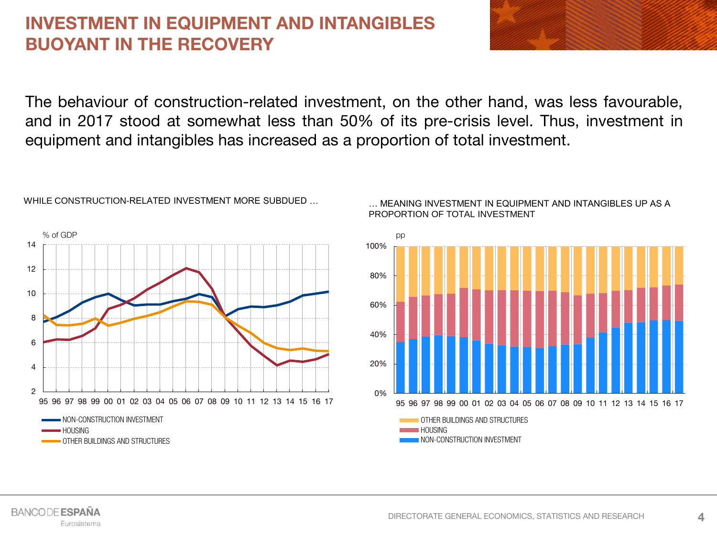### **INVESTMENT IN EQUIPMENT AND INTANGIBLES BUOYANT IN THE RECOVERY**



The behaviour of construction-related investment, on the other hand, was less favourable, and in 2017 stood at somewhat less than 50% of its pre-crisis level. Thus, investment in equipment and intangibles has increased as a proportion of total investment.



WHILE CONSTRUCTION-RELATED INVESTMENT MORE SUBDUED …

0% 20% 40% 60% 80% 100% 95 96 97 98 99 00 01 02 03 04 05 06 07 08 09 10 11 12 13 14 15 16 17 pp

… MEANING INVESTMENT IN EQUIPMENT AND INTANGIBLES UP AS A PROPORTION OF TOTAL INVESTMENT

> OTHER BUILDINGS AND STRUCTURES **HOUSING NON-CONSTRUCTION INVESTMENT**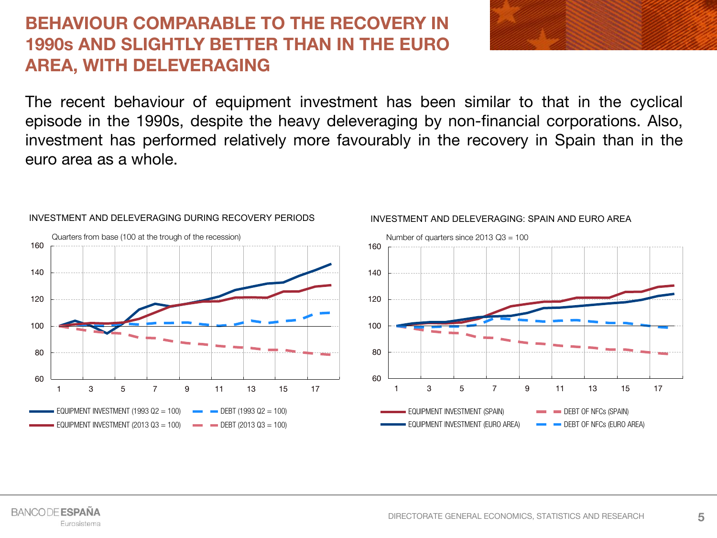### **BEHAVIOUR COMPARABLE TO THE RECOVERY IN 1990s AND SLIGHTLY BETTER THAN IN THE EURO AREA, WITH DELEVERAGING**

The recent behaviour of equipment investment has been similar to that in the cyclical episode in the 1990s, despite the heavy deleveraging by non-financial corporations. Also, investment has performed relatively more favourably in the recovery in Spain than in the euro area as a whole.



#### INVESTMENT AND DELEVERAGING DURING RECOVERY PERIODS



#### INVESTMENT AND DELEVERAGING: SPAIN AND EURO AREA

**BANCODE ESPAÑA** Eurosistema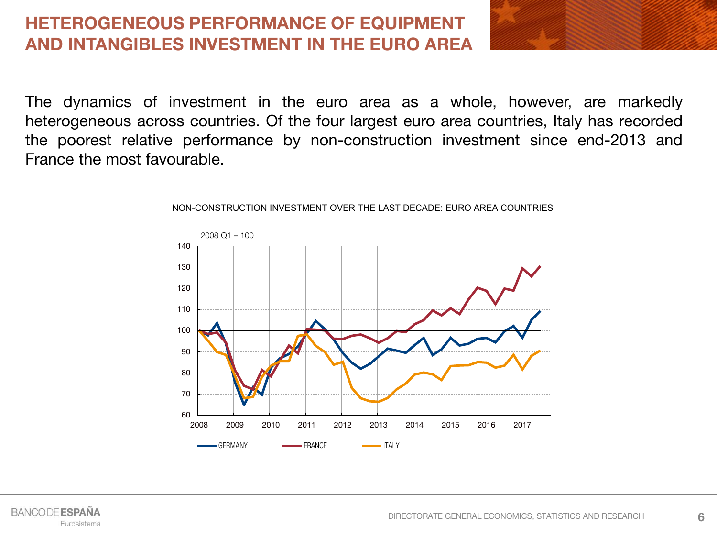### **HETEROGENEOUS PERFORMANCE OF EQUIPMENT AND INTANGIBLES INVESTMENT IN THE EURO AREA**

The dynamics of investment in the euro area as a whole, however, are markedly heterogeneous across countries. Of the four largest euro area countries, Italy has recorded the poorest relative performance by non-construction investment since end-2013 and France the most favourable.



#### NON-CONSTRUCTION INVESTMENT OVER THE LAST DECADE: EURO AREA COUNTRIES

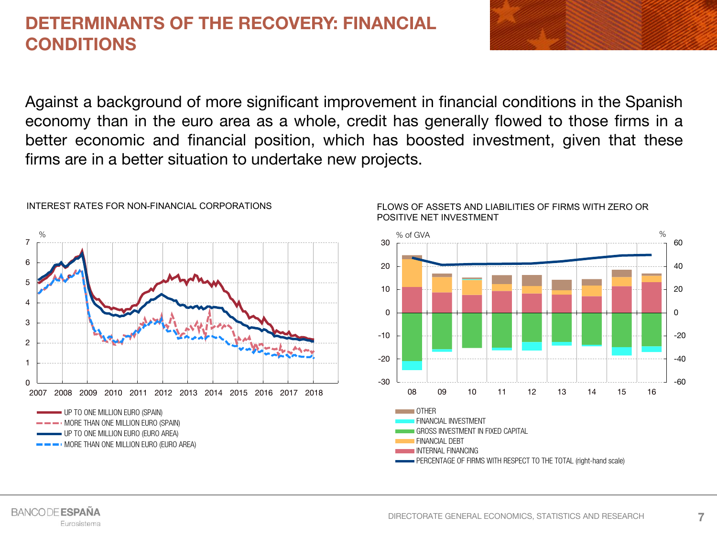### **DETERMINANTS OF THE RECOVERY: FINANCIAL CONDITIONS**

Against a background of more significant improvement in financial conditions in the Spanish economy than in the euro area as a whole, credit has generally flowed to those firms in a better economic and financial position, which has boosted investment, given that these firms are in a better situation to undertake new projects.



#### INTEREST RATES FOR NON-FINANCIAL CORPORATIONS



#### FLOWS OF ASSETS AND LIABILITIES OF FIRMS WITH ZERO OR POSITIVE NET INVESTMENT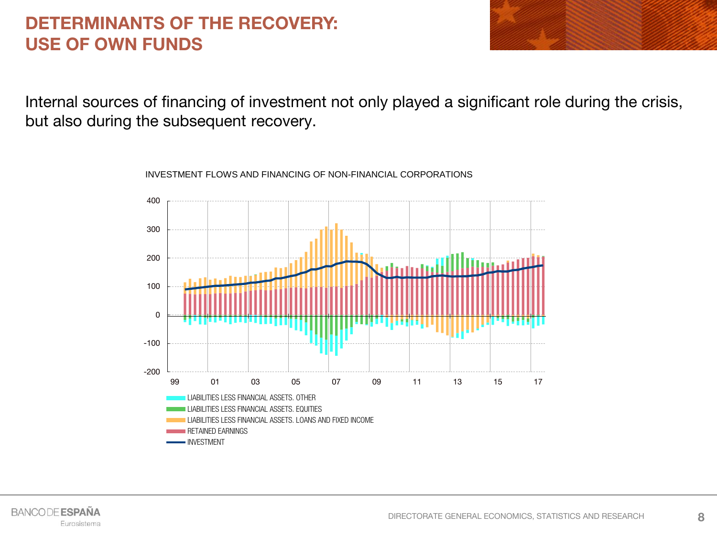### **DETERMINANTS OF THE RECOVERY: USE OF OWN FUNDS**



Internal sources of financing of investment not only played a significant role during the crisis, but also during the subsequent recovery.

> -200 -100 0 100 200 300 400 99 01 03 05 07 09 11 13 15 17 LIABILITIES LESS FINANCIAL ASSETS. OTHER LIABILITIES LESS FINANCIAL ASSETS. EQUITIES LIABILITIES LESS FINANCIAL ASSETS. LOANS AND FIXED INCOME RETAINED EARNINGS INVESTMENT

INVESTMENT FLOWS AND FINANCING OF NON-FINANCIAL CORPORATIONS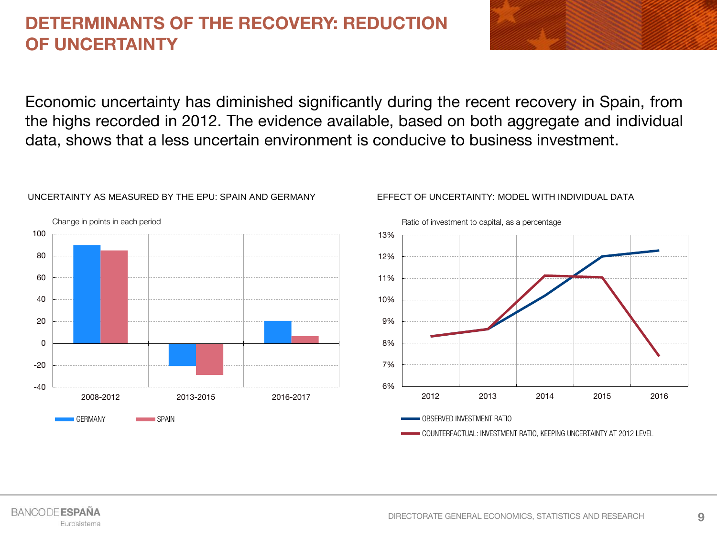### **DETERMINANTS OF THE RECOVERY: REDUCTION OF UNCERTAINTY**

Economic uncertainty has diminished significantly during the recent recovery in Spain, from the highs recorded in 2012. The evidence available, based on both aggregate and individual data, shows that a less uncertain environment is conducive to business investment.



#### UNCERTAINTY AS MEASURED BY THE EPU: SPAIN AND GERMANY

EFFECT OF UNCERTAINTY: MODEL WITH INDIVIDUAL DATA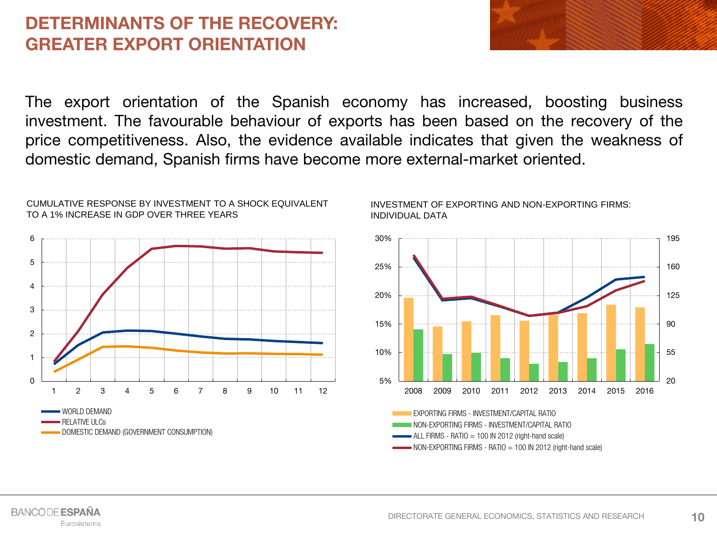### **DETERMINANTS OF THE RECOVERY: GREATER EXPORT ORIENTATION**

The export orientation of the Spanish economy has increased, boosting business investment. The favourable behaviour of exports has been based on the recovery of the price competitiveness. Also, the evidence available indicates that given the weakness of domestic demand, Spanish firms have become more external-market oriented.



#### CUMULATIVE RESPONSE BY INVESTMENT TO A SHOCK EQUIVALENT TO A 1% INCREASE IN GDP OVER THREE YEARS



#### INVESTMENT OF EXPORTING AND NON-EXPORTING FIRMS: INDIVIDUAL DATA

NON-EXPORTING FIRMS - INVESTMENT/CAPITAL RATIO  $-$  ALL FIRMS - RATIO  $=$  100 IN 2012 (right-hand scale) NON-EXPORTING FIRMS - RATIO = 100 IN 2012 (right-hand scale)

**BANCODE ESPAÑA** Eurosistema

**10**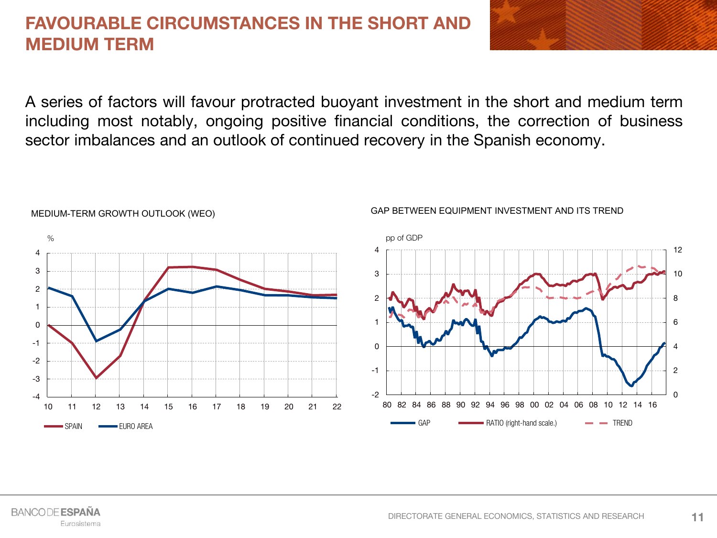### **FAVOURABLE CIRCUMSTANCES IN THE SHORT AND MEDIUM TERM**

A series of factors will favour protracted buoyant investment in the short and medium term including most notably, ongoing positive financial conditions, the correction of business sector imbalances and an outlook of continued recovery in the Spanish economy.



#### MEDIUM-TERM GROWTH OUTLOOK (WEO)

#### **BANCODE ESPAÑA** Eurosistema

GAP BETWEEN EQUIPMENT INVESTMENT AND ITS TREND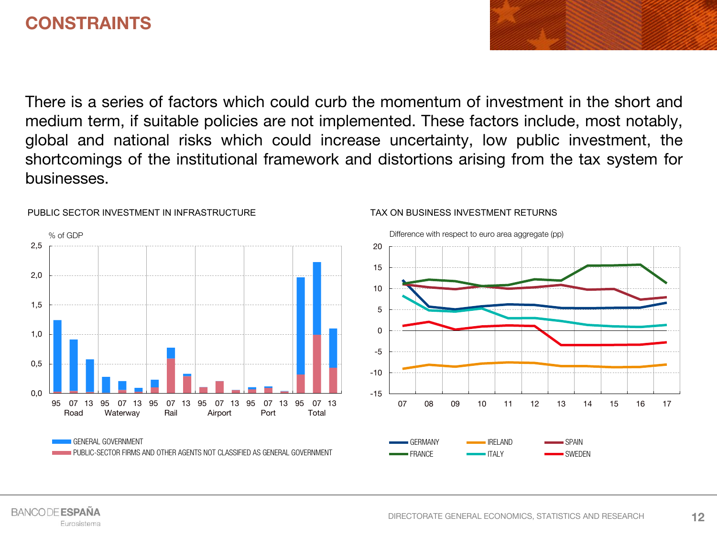### **CONSTRAINTS**

There is a series of factors which could curb the momentum of investment in the short and medium term, if suitable policies are not implemented. These factors include, most notably, global and national risks which could increase uncertainty, low public investment, the shortcomings of the institutional framework and distortions arising from the tax system for businesses.

TAX ON BUSINESS INVESTMENT RETURNS



#### PUBLIC SECTOR INVESTMENT IN INFRASTRUCTURE

#### **BANCODE ESPAÑA** Eurosistema